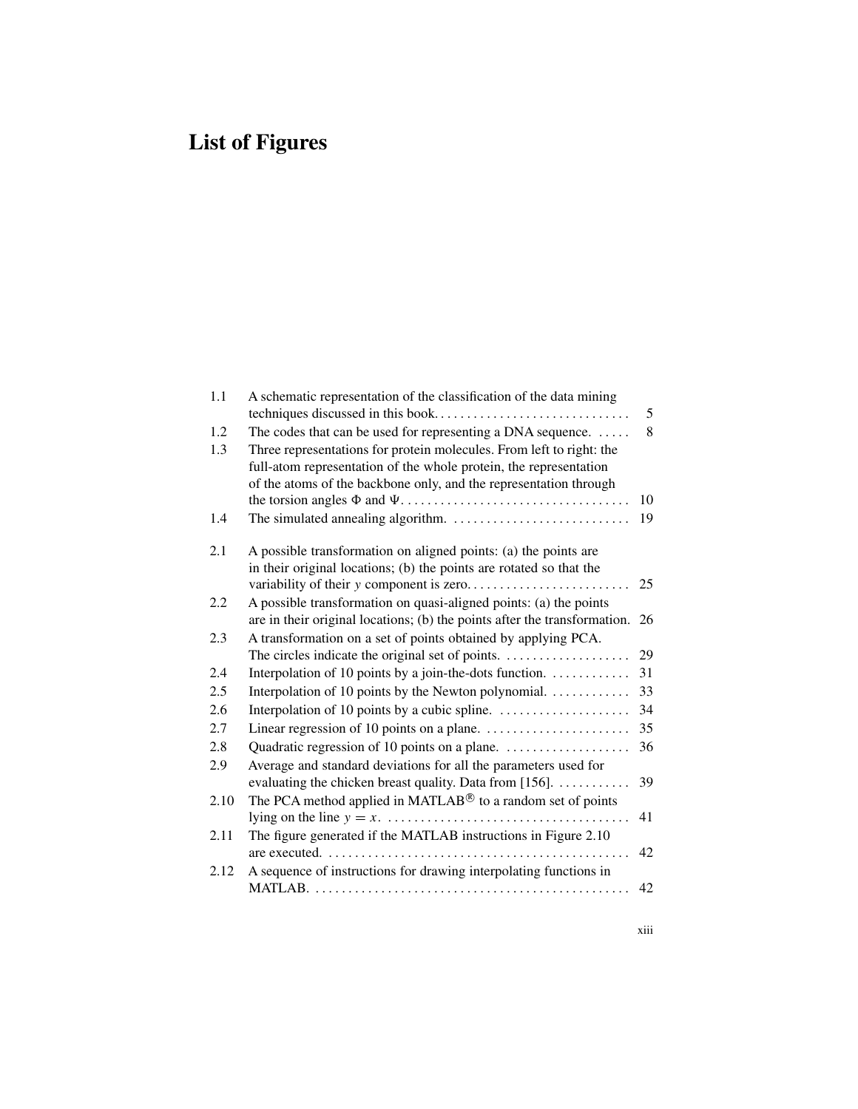## **List of Figures**

| 1.1  | A schematic representation of the classification of the data mining                                                                                                                                            |    |
|------|----------------------------------------------------------------------------------------------------------------------------------------------------------------------------------------------------------------|----|
|      |                                                                                                                                                                                                                | 5  |
| 1.2  | The codes that can be used for representing a DNA sequence.                                                                                                                                                    | 8  |
| 1.3  | Three representations for protein molecules. From left to right: the<br>full-atom representation of the whole protein, the representation<br>of the atoms of the backbone only, and the representation through | 10 |
|      |                                                                                                                                                                                                                |    |
| 1.4  |                                                                                                                                                                                                                | 19 |
| 2.1  | A possible transformation on aligned points: (a) the points are<br>in their original locations; (b) the points are rotated so that the                                                                         | 25 |
| 2.2  | A possible transformation on quasi-aligned points: (a) the points                                                                                                                                              |    |
|      | are in their original locations; (b) the points after the transformation.                                                                                                                                      | 26 |
| 2.3  | A transformation on a set of points obtained by applying PCA.                                                                                                                                                  |    |
|      |                                                                                                                                                                                                                | 29 |
| 2.4  | Interpolation of 10 points by a join-the-dots function.                                                                                                                                                        | 31 |
| 2.5  | Interpolation of 10 points by the Newton polynomial.                                                                                                                                                           | 33 |
| 2.6  |                                                                                                                                                                                                                | 34 |
| 2.7  |                                                                                                                                                                                                                | 35 |
| 2.8  | Quadratic regression of 10 points on a plane.                                                                                                                                                                  | 36 |
| 2.9  | Average and standard deviations for all the parameters used for                                                                                                                                                |    |
|      | evaluating the chicken breast quality. Data from $[156]$ .                                                                                                                                                     | 39 |
| 2.10 | The PCA method applied in MATLAB® to a random set of points                                                                                                                                                    |    |
|      |                                                                                                                                                                                                                | 41 |
| 2.11 | The figure generated if the MATLAB instructions in Figure 2.10                                                                                                                                                 |    |
|      |                                                                                                                                                                                                                | 42 |
| 2.12 | A sequence of instructions for drawing interpolating functions in                                                                                                                                              |    |
|      |                                                                                                                                                                                                                | 42 |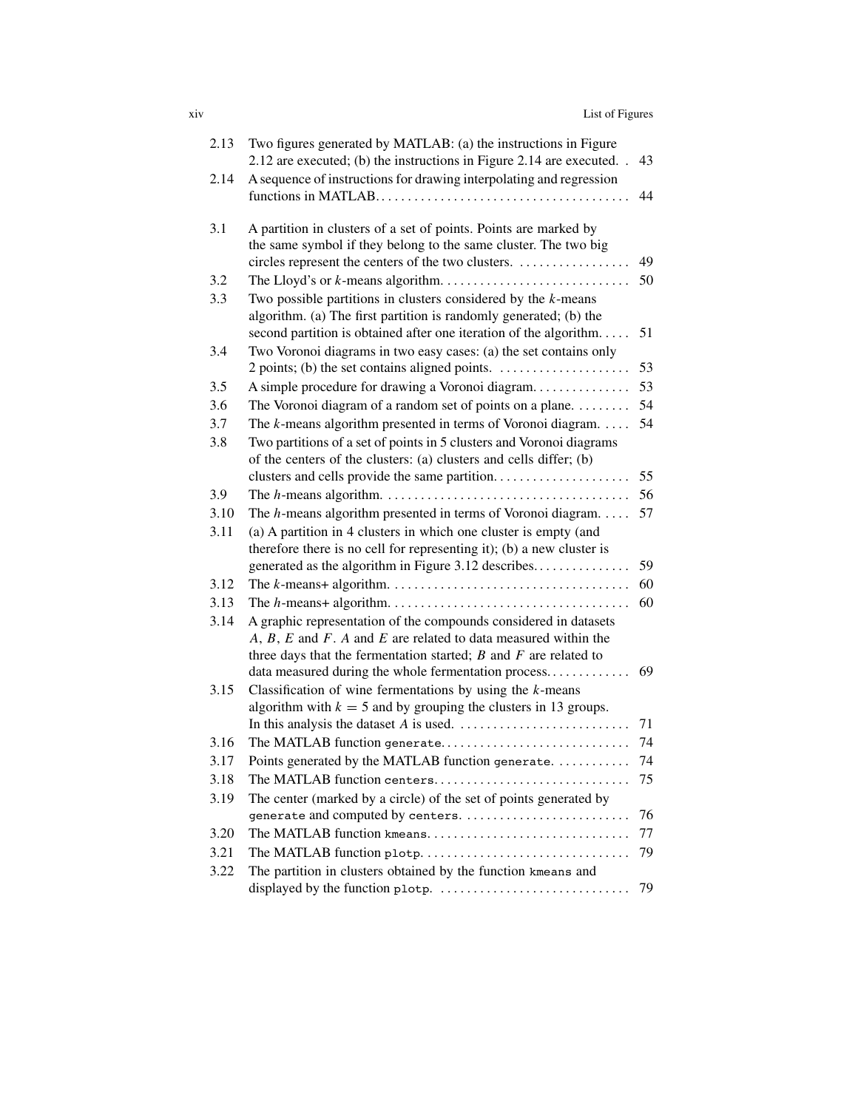| List of Figures<br><b>X1V</b> |  |
|-------------------------------|--|
|-------------------------------|--|

| 2.13 | Two figures generated by MATLAB: (a) the instructions in Figure<br>2.12 are executed; (b) the instructions in Figure 2.14 are executed. .                                                                        | 43 |
|------|------------------------------------------------------------------------------------------------------------------------------------------------------------------------------------------------------------------|----|
| 2.14 | A sequence of instructions for drawing interpolating and regression                                                                                                                                              | 44 |
| 3.1  | A partition in clusters of a set of points. Points are marked by<br>the same symbol if they belong to the same cluster. The two big<br>circles represent the centers of the two clusters.                        | 49 |
| 3.2  |                                                                                                                                                                                                                  | 50 |
| 3.3  | Two possible partitions in clusters considered by the $k$ -means<br>algorithm. (a) The first partition is randomly generated; (b) the<br>second partition is obtained after one iteration of the algorithm       | 51 |
| 3.4  | Two Voronoi diagrams in two easy cases: (a) the set contains only                                                                                                                                                |    |
|      |                                                                                                                                                                                                                  | 53 |
| 3.5  | A simple procedure for drawing a Voronoi diagram                                                                                                                                                                 | 53 |
| 3.6  | The Voronoi diagram of a random set of points on a plane.                                                                                                                                                        | 54 |
| 3.7  | The $k$ -means algorithm presented in terms of Voronoi diagram. $\dots$                                                                                                                                          | 54 |
| 3.8  | Two partitions of a set of points in 5 clusters and Voronoi diagrams<br>of the centers of the clusters: (a) clusters and cells differ; (b)                                                                       |    |
|      |                                                                                                                                                                                                                  | 55 |
| 3.9  |                                                                                                                                                                                                                  | 56 |
| 3.10 | The $h$ -means algorithm presented in terms of Voronoi diagram.                                                                                                                                                  | 57 |
| 3.11 | (a) A partition in 4 clusters in which one cluster is empty (and<br>therefore there is no cell for representing it); (b) a new cluster is                                                                        |    |
|      | generated as the algorithm in Figure 3.12 describes                                                                                                                                                              | 59 |
| 3.12 |                                                                                                                                                                                                                  | 60 |
| 3.13 |                                                                                                                                                                                                                  | 60 |
| 3.14 | A graphic representation of the compounds considered in datasets<br>$A, B, E$ and $F. A$ and $E$ are related to data measured within the<br>three days that the fermentation started; $B$ and $F$ are related to |    |
|      | data measured during the whole fermentation process                                                                                                                                                              | 69 |
| 3.15 | Classification of wine fermentations by using the $k$ -means<br>algorithm with $k = 5$ and by grouping the clusters in 13 groups.                                                                                |    |
|      |                                                                                                                                                                                                                  | 71 |
| 3.16 | The MATLAB function generate                                                                                                                                                                                     | 74 |
| 3.17 | Points generated by the MATLAB function generate.                                                                                                                                                                | 74 |
| 3.18 | The MATLAB function centers                                                                                                                                                                                      | 75 |
| 3.19 | The center (marked by a circle) of the set of points generated by                                                                                                                                                |    |
|      | generate and computed by centers.                                                                                                                                                                                | 76 |
| 3.20 | The MATLAB function kmeans                                                                                                                                                                                       | 77 |
| 3.21 | The MATLAB function plotp                                                                                                                                                                                        | 79 |
| 3.22 | The partition in clusters obtained by the function kmeans and                                                                                                                                                    |    |
|      |                                                                                                                                                                                                                  | 79 |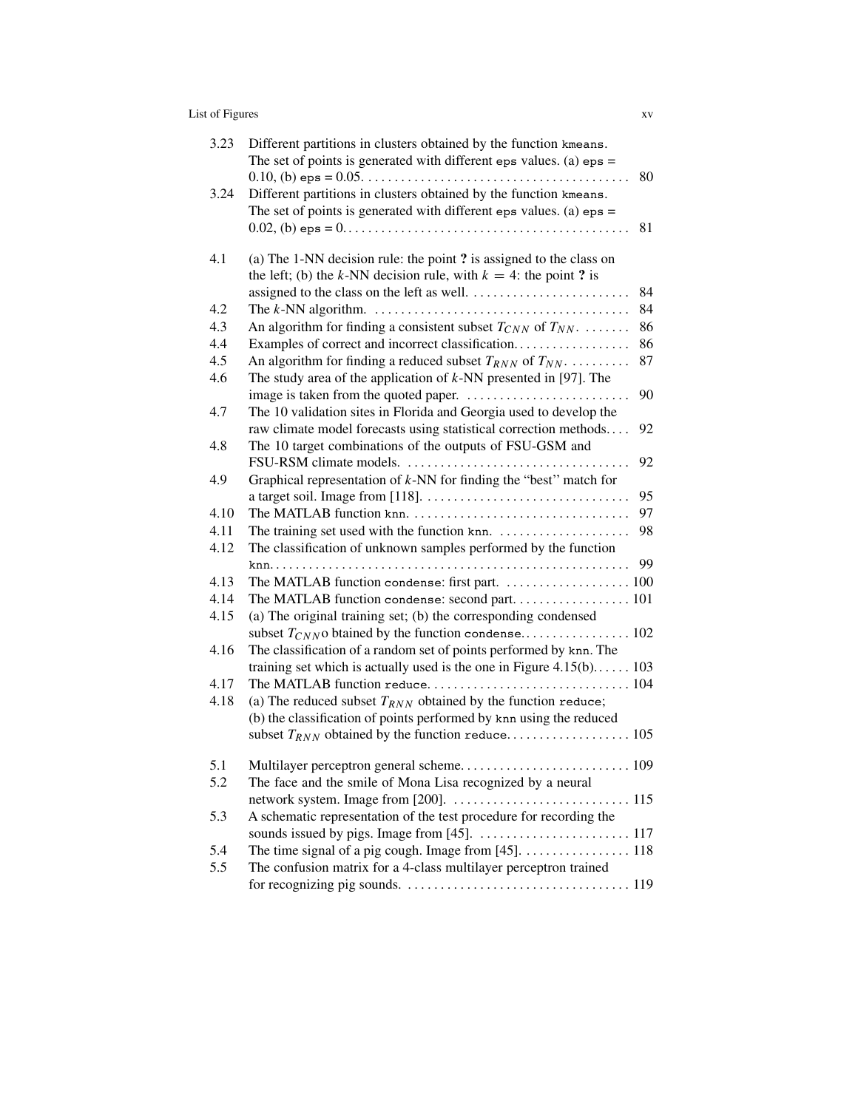## List of Figures xv

| 3.23 | Different partitions in clusters obtained by the function kmeans.<br>The set of points is generated with different eps values. (a) $eps =$ |
|------|--------------------------------------------------------------------------------------------------------------------------------------------|
| 3.24 | 80<br>.<br>Different partitions in clusters obtained by the function kmeans.                                                               |
|      | The set of points is generated with different eps values. (a) $eps =$                                                                      |
|      | 81                                                                                                                                         |
|      |                                                                                                                                            |
| 4.1  | (a) The 1-NN decision rule: the point ? is assigned to the class on                                                                        |
|      | the left; (b) the k-NN decision rule, with $k = 4$ : the point ? is                                                                        |
|      | 84                                                                                                                                         |
| 4.2  | 84                                                                                                                                         |
| 4.3  | An algorithm for finding a consistent subset $T_{CNN}$ of $T_{NN}$ .<br>86                                                                 |
| 4.4  | Examples of correct and incorrect classification<br>86                                                                                     |
| 4.5  | An algorithm for finding a reduced subset $T_{RNN}$ of $T_{NN}$<br>87                                                                      |
| 4.6  | The study area of the application of $k$ -NN presented in [97]. The                                                                        |
|      | 90                                                                                                                                         |
| 4.7  | The 10 validation sites in Florida and Georgia used to develop the                                                                         |
|      | raw climate model forecasts using statistical correction methods<br>92                                                                     |
| 4.8  | The 10 target combinations of the outputs of FSU-GSM and                                                                                   |
|      | FSU-RSM climate models.<br>92                                                                                                              |
| 4.9  | Graphical representation of $k$ -NN for finding the "best" match for                                                                       |
|      | 95                                                                                                                                         |
| 4.10 | 97                                                                                                                                         |
| 4.11 | 98                                                                                                                                         |
| 4.12 | The classification of unknown samples performed by the function                                                                            |
|      | 99                                                                                                                                         |
| 4.13 |                                                                                                                                            |
| 4.14 |                                                                                                                                            |
| 4.15 | (a) The original training set; (b) the corresponding condensed                                                                             |
|      |                                                                                                                                            |
| 4.16 | The classification of a random set of points performed by knn. The                                                                         |
|      | training set which is actually used is the one in Figure $4.15(b)$ 103                                                                     |
| 4.17 |                                                                                                                                            |
| 4.18 | (a) The reduced subset $T_{RNN}$ obtained by the function reduce;                                                                          |
|      | (b) the classification of points performed by knn using the reduced                                                                        |
|      |                                                                                                                                            |
| 5.1  |                                                                                                                                            |
| 5.2  |                                                                                                                                            |
|      | The face and the smile of Mona Lisa recognized by a neural                                                                                 |
|      | A schematic representation of the test procedure for recording the                                                                         |
| 5.3  |                                                                                                                                            |
| 5.4  | The time signal of a pig cough. Image from [45]. 118                                                                                       |
| 5.5  |                                                                                                                                            |
|      | The confusion matrix for a 4-class multilayer perceptron trained                                                                           |
|      |                                                                                                                                            |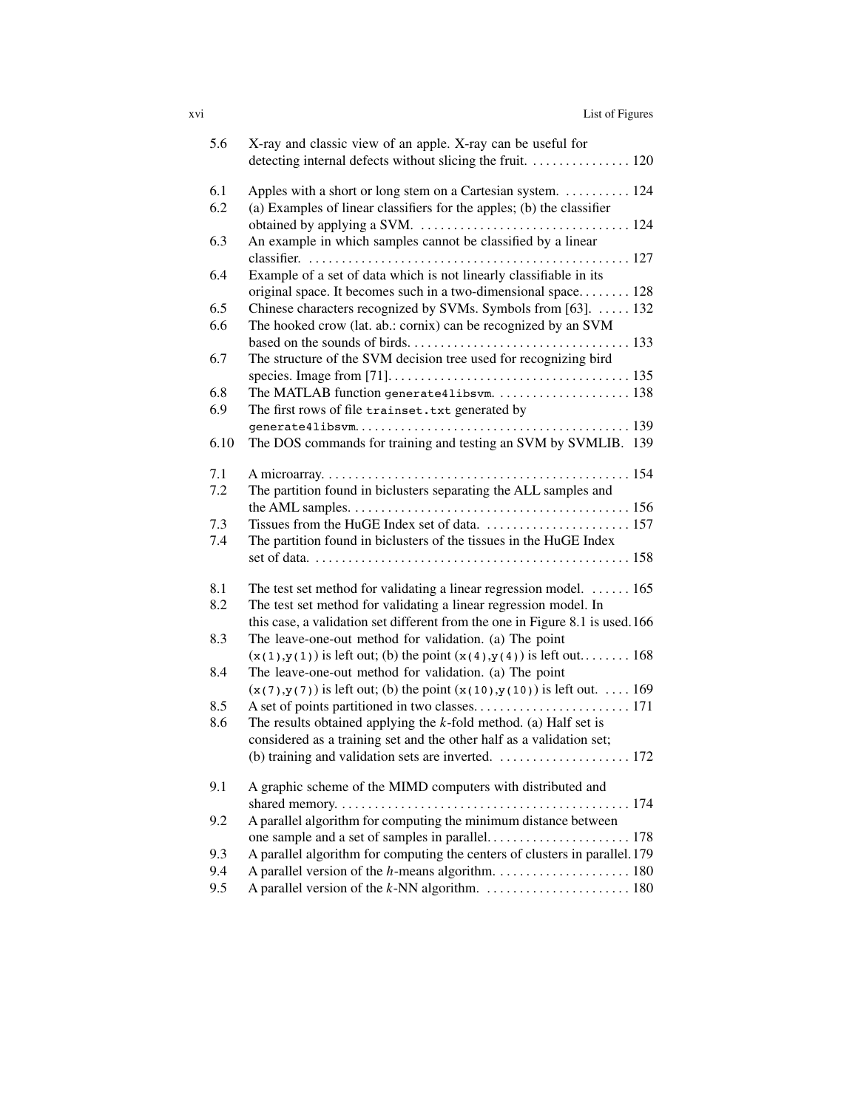| <b>XV1</b> | List of Figures |
|------------|-----------------|
|            |                 |

| 5.6        | X-ray and classic view of an apple. X-ray can be useful for<br>detecting internal defects without slicing the fruit. 120                         |
|------------|--------------------------------------------------------------------------------------------------------------------------------------------------|
| 6.1<br>6.2 | Apples with a short or long stem on a Cartesian system.  124<br>(a) Examples of linear classifiers for the apples; (b) the classifier            |
| 6.3        | An example in which samples cannot be classified by a linear                                                                                     |
| 6.4        | Example of a set of data which is not linearly classifiable in its                                                                               |
| 6.5        | original space. It becomes such in a two-dimensional space 128<br>Chinese characters recognized by SVMs. Symbols from [63].  132                 |
| 6.6        | The hooked crow (lat. ab.: cornix) can be recognized by an SVM                                                                                   |
| 6.7        | The structure of the SVM decision tree used for recognizing bird                                                                                 |
| 6.8<br>6.9 | The MATLAB function generate41ibsvm.  138<br>The first rows of file trainset. txt generated by                                                   |
| 6.10       | The DOS commands for training and testing an SVM by SVMLIB. 139                                                                                  |
| 7.1<br>7.2 | The partition found in biclusters separating the ALL samples and                                                                                 |
| 7.3        |                                                                                                                                                  |
| 7.4        | The partition found in biclusters of the tissues in the HuGE Index                                                                               |
| 8.1        | The test set method for validating a linear regression model. $\dots \dots 165$                                                                  |
| 8.2        | The test set method for validating a linear regression model. In<br>this case, a validation set different from the one in Figure 8.1 is used.166 |
| 8.3        | The leave-one-out method for validation. (a) The point<br>$(x(1),y(1))$ is left out; (b) the point $(x(4),y(4))$ is left out 168                 |
| 8.4        | The leave-one-out method for validation. (a) The point<br>$(x(7),y(7))$ is left out; (b) the point $(x(10),y(10))$ is left out.  169             |
| 8.5<br>8.6 | The results obtained applying the $k$ -fold method. (a) Half set is<br>considered as a training set and the other half as a validation set;      |
|            |                                                                                                                                                  |
| 9.1        | A graphic scheme of the MIMD computers with distributed and                                                                                      |
| 9.2        | A parallel algorithm for computing the minimum distance between                                                                                  |
| 9.3        | A parallel algorithm for computing the centers of clusters in parallel. 179                                                                      |
| 9.4        |                                                                                                                                                  |
| 9.5        |                                                                                                                                                  |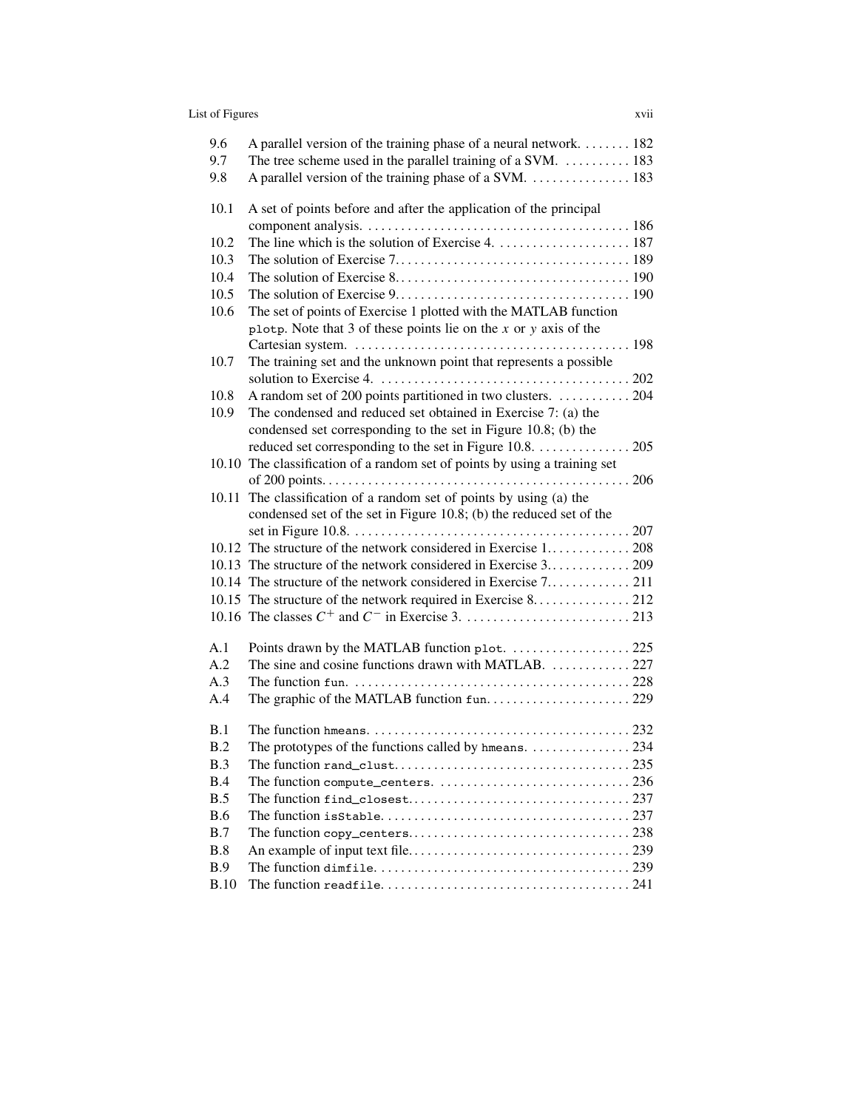## List of Figures xvii

| 9.6<br>9.7<br>9.8 | A parallel version of the training phase of a neural network. 182<br>The tree scheme used in the parallel training of a SVM. $\dots$ 183 |
|-------------------|------------------------------------------------------------------------------------------------------------------------------------------|
| 10.1              | A set of points before and after the application of the principal                                                                        |
| 10.2              |                                                                                                                                          |
| 10.3              |                                                                                                                                          |
| 10.4              |                                                                                                                                          |
| 10.5              |                                                                                                                                          |
| 10.6              | The set of points of Exercise 1 plotted with the MATLAB function                                                                         |
|                   | plotp. Note that 3 of these points lie on the $x$ or $y$ axis of the                                                                     |
|                   |                                                                                                                                          |
| 10.7              | The training set and the unknown point that represents a possible                                                                        |
|                   |                                                                                                                                          |
| 10.8              | A random set of 200 points partitioned in two clusters.  204                                                                             |
| 10.9              | The condensed and reduced set obtained in Exercise 7: (a) the                                                                            |
|                   | condensed set corresponding to the set in Figure 10.8; (b) the                                                                           |
|                   | reduced set corresponding to the set in Figure 10.8. 205                                                                                 |
|                   | 10.10 The classification of a random set of points by using a training set                                                               |
|                   | 10.11 The classification of a random set of points by using (a) the                                                                      |
|                   | condensed set of the set in Figure 10.8; (b) the reduced set of the                                                                      |
|                   |                                                                                                                                          |
|                   |                                                                                                                                          |
|                   |                                                                                                                                          |
|                   |                                                                                                                                          |
|                   | 10.15 The structure of the network required in Exercise 8. 212                                                                           |
|                   |                                                                                                                                          |
| A.1               |                                                                                                                                          |
| A.2               | The sine and cosine functions drawn with MATLAB.  227                                                                                    |
| A.3               | The function fun. $\ldots \ldots \ldots \ldots \ldots \ldots \ldots \ldots \ldots \ldots \ldots \ldots \ldots 228$                       |
| A.4               |                                                                                                                                          |
|                   |                                                                                                                                          |
| B.1               |                                                                                                                                          |
| B.2               | The prototypes of the functions called by hmeans.  234                                                                                   |
| B.3               |                                                                                                                                          |
| B.4               |                                                                                                                                          |
| B.5               |                                                                                                                                          |
| <b>B.6</b><br>B.7 |                                                                                                                                          |
| B.8               |                                                                                                                                          |
| <b>B.9</b>        |                                                                                                                                          |
| <b>B.10</b>       |                                                                                                                                          |
|                   |                                                                                                                                          |